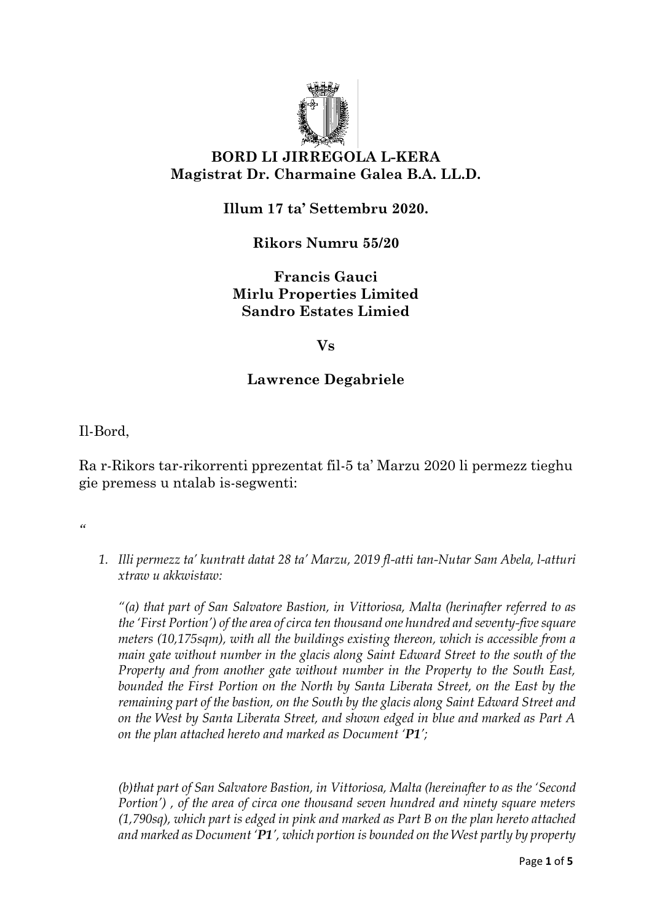

## **BORD LI JIRREGOLA L-KERA Magistrat Dr. Charmaine Galea B.A. LL.D.**

**Illum 17 ta' Settembru 2020.**

**Rikors Numru 55/20**

**Francis Gauci Mirlu Properties Limited Sandro Estates Limied**

**Vs**

## **Lawrence Degabriele**

Il-Bord,

Ra r-Rikors tar-rikorrenti pprezentat fil-5 ta' Marzu 2020 li permezz tieghu gie premess u ntalab is-segwenti:

*"*

*1. Illi permezz ta' kuntratt datat 28 ta' Marzu, 2019 fl-atti tan-Nutar Sam Abela, l-atturi xtraw u akkwistaw:*

*"(a) that part of San Salvatore Bastion, in Vittoriosa, Malta (herinafter referred to as the 'First Portion') of the area of circa ten thousand one hundred and seventy-five square meters (10,175sqm), with all the buildings existing thereon, which is accessible from a main gate without number in the glacis along Saint Edward Street to the south of the Property and from another gate without number in the Property to the South East, bounded the First Portion on the North by Santa Liberata Street, on the East by the remaining part of the bastion, on the South by the glacis along Saint Edward Street and on the West by Santa Liberata Street, and shown edged in blue and marked as Part A on the plan attached hereto and marked as Document 'P1';*

*(b)that part of San Salvatore Bastion, in Vittoriosa, Malta (hereinafter to as the 'Second Portion') , of the area of circa one thousand seven hundred and ninety square meters (1,790sq), which part is edged in pink and marked as Part B on the plan hereto attached and marked as Document 'P1', which portion is bounded on the West partly by property*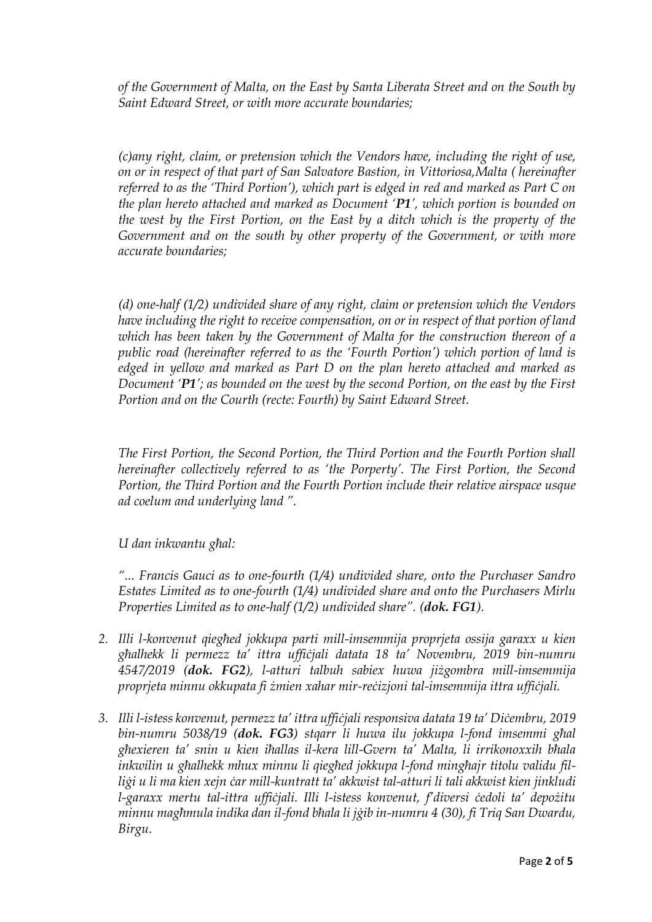*of the Government of Malta, on the East by Santa Liberata Street and on the South by Saint Edward Street, or with more accurate boundaries;*

*(c)any right, claim, or pretension which the Vendors have, including the right of use, on or in respect of that part of San Salvatore Bastion, in Vittoriosa,Malta ( hereinafter referred to as the 'Third Portion'), which part is edged in red and marked as Part C on the plan hereto attached and marked as Document 'P1', which portion is bounded on the west by the First Portion, on the East by a ditch which is the property of the Government and on the south by other property of the Government, or with more accurate boundaries;*

*(d) one-half (1/2) undivided share of any right, claim or pretension which the Vendors have including the right to receive compensation, on or in respect of that portion of land which has been taken by the Government of Malta for the construction thereon of a public road (hereinafter referred to as the 'Fourth Portion') which portion of land is edged in yellow and marked as Part D on the plan hereto attached and marked as Document 'P1'; as bounded on the west by the second Portion, on the east by the First Portion and on the Courth (recte: Fourth) by Saint Edward Street.*

*The First Portion, the Second Portion, the Third Portion and the Fourth Portion shall hereinafter collectively referred to as 'the Porperty'. The First Portion, the Second Portion, the Third Portion and the Fourth Portion include their relative airspace usque ad coelum and underlying land ".*

*U dan inkwantu għal:*

*"... Francis Gauci as to one-fourth (1/4) undivided share, onto the Purchaser Sandro Estates Limited as to one-fourth (1/4) undivided share and onto the Purchasers Mirlu Properties Limited as to one-half (1/2) undivided share". (dok. FG1).*

- *2. Illi l-konvenut qiegħed jokkupa parti mill-imsemmija proprjeta ossija garaxx u kien għalhekk li permezz ta' ittra uffiċjali datata 18 ta' Novembru, 2019 bin-numru 4547/2019 (dok. FG2), l-atturi talbuh sabiex huwa jiżgombra mill-imsemmija proprjeta minnu okkupata fi żmien xahar mir-reċizjoni tal-imsemmija ittra uffiċjali.*
- *3. Illi l-istess konvenut, permezz ta' ittra uffiċjali responsiva datata 19 ta' Diċembru, 2019 bin-numru 5038/19 (dok. FG3) stqarr li huwa ilu jokkupa l-fond imsemmi għal għexieren ta' snin u kien iħallas il-kera lill-Gvern ta' Malta, li irrikonoxxih bħala inkwilin u għalhekk mhux minnu li qiegħed jokkupa l-fond mingħajr titolu validu filliġi u li ma kien xejn ċar mill-kuntratt ta' akkwist tal-atturi li tali akkwist kien jinkludi l-garaxx mertu tal-ittra uffiċjali. Illi l-istess konvenut, f'diversi ċedoli ta' depożitu minnu magħmula indika dan il-fond bħala li jġib in-numru 4 (30), fi Triq San Dwardu, Birgu.*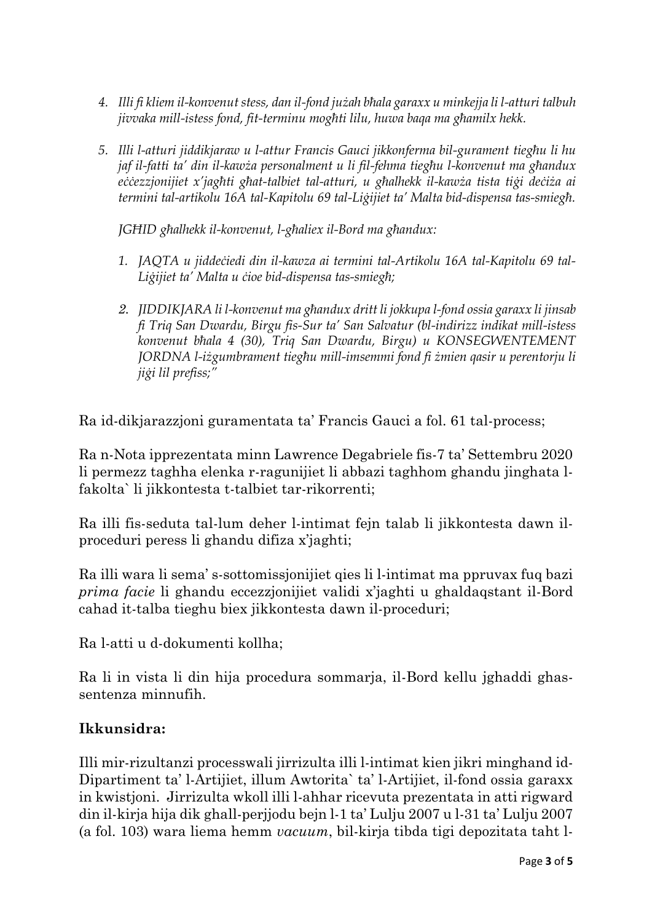- *4. Illi fi kliem il-konvenut stess, dan il-fond jużah bħala garaxx u minkejja li l-atturi talbuh jivvaka mill-istess fond, fit-terminu mogħti lilu, huwa baqa ma għamilx hekk.*
- *5. Illi l-atturi jiddikjaraw u l-attur Francis Gauci jikkonferma bil-gurament tiegħu li hu jaf il-fatti ta' din il-kawża personalment u li fil-fehma tiegħu l-konvenut ma għandux eċċezzjonijiet x'jagħti għat-talbiet tal-atturi, u għalhekk il-kawża tista tiġi deċiża ai termini tal-artikolu 16A tal-Kapitolu 69 tal-Liġijiet ta' Malta bid-dispensa tas-smiegħ.*

*JGĦID għalhekk il-konvenut, l-għaliex il-Bord ma għandux:*

- *1. JAQTA u jiddeċiedi din il-kawza ai termini tal-Artikolu 16A tal-Kapitolu 69 tal-Liġijiet ta' Malta u ċioe bid-dispensa tas-smiegħ;*
- *2. JIDDIKJARA li l-konvenut ma għandux dritt li jokkupa l-fond ossia garaxx li jinsab fi Triq San Dwardu, Birgu fis-Sur ta' San Salvatur (bl-indirizz indikat mill-istess konvenut bħala 4 (30), Triq San Dwardu, Birgu) u KONSEGWENTEMENT JORDNA l-iżgumbrament tiegħu mill-imsemmi fond fi żmien qasir u perentorju li jiġi lil prefiss;"*

Ra id-dikjarazzjoni guramentata ta' Francis Gauci a fol. 61 tal-process;

Ra n-Nota ipprezentata minn Lawrence Degabriele fis-7 ta' Settembru 2020 li permezz taghha elenka r-ragunijiet li abbazi taghhom ghandu jinghata lfakolta` li jikkontesta t-talbiet tar-rikorrenti;

Ra illi fis-seduta tal-lum deher l-intimat fejn talab li jikkontesta dawn ilproceduri peress li ghandu difiza x'jaghti;

Ra illi wara li sema' s-sottomissjonijiet qies li l-intimat ma ppruvax fuq bazi *prima facie* li ghandu eccezzjonijiet validi x'jaghti u ghaldaqstant il-Bord cahad it-talba tieghu biex jikkontesta dawn il-proceduri;

Ra l-atti u d-dokumenti kollha;

Ra li in vista li din hija procedura sommarja, il-Bord kellu jghaddi ghassentenza minnufih.

## **Ikkunsidra:**

Illi mir-rizultanzi processwali jirrizulta illi l-intimat kien jikri minghand id-Dipartiment ta' l-Artijiet, illum Awtorita` ta' l-Artijiet, il-fond ossia garaxx in kwistjoni. Jirrizulta wkoll illi l-ahhar ricevuta prezentata in atti rigward din il-kirja hija dik ghall-perjjodu bejn l-1 ta' Lulju 2007 u l-31 ta' Lulju 2007 (a fol. 103) wara liema hemm *vacuum*, bil-kirja tibda tigi depozitata taht l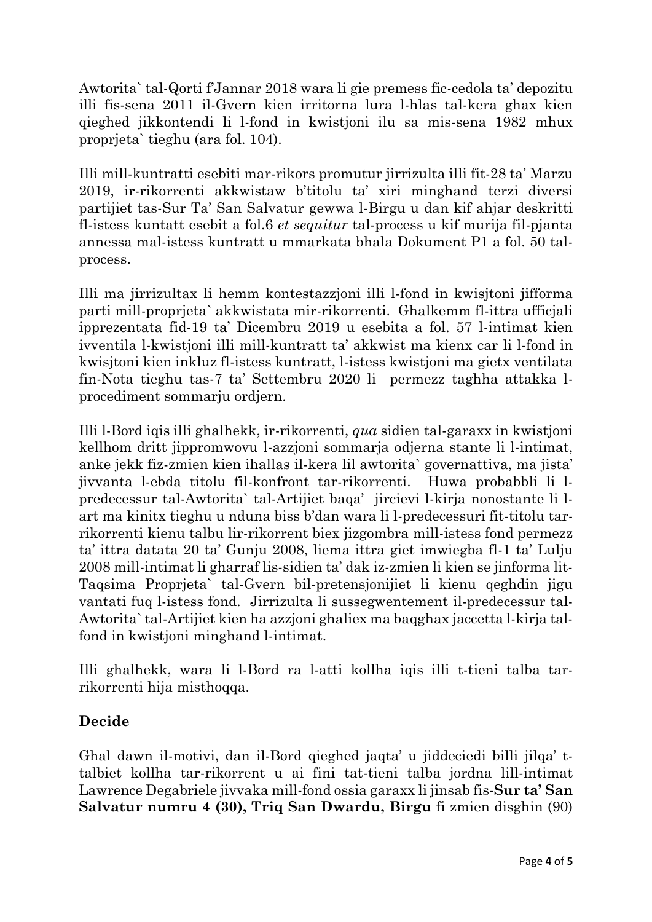Awtorita` tal-Qorti f'Jannar 2018 wara li gie premess fic-cedola ta' depozitu illi fis-sena 2011 il-Gvern kien irritorna lura l-hlas tal-kera ghax kien qieghed jikkontendi li l-fond in kwistjoni ilu sa mis-sena 1982 mhux proprjeta` tieghu (ara fol. 104).

Illi mill-kuntratti esebiti mar-rikors promutur jirrizulta illi fit-28 ta' Marzu 2019, ir-rikorrenti akkwistaw b'titolu ta' xiri minghand terzi diversi partijiet tas-Sur Ta' San Salvatur gewwa l-Birgu u dan kif ahjar deskritti fl-istess kuntatt esebit a fol.6 *et sequitur* tal-process u kif murija fil-pjanta annessa mal-istess kuntratt u mmarkata bhala Dokument P1 a fol. 50 talprocess.

Illi ma jirrizultax li hemm kontestazzjoni illi l-fond in kwisjtoni jifforma parti mill-proprjeta` akkwistata mir-rikorrenti. Ghalkemm fl-ittra ufficjali ipprezentata fid-19 ta' Dicembru 2019 u esebita a fol. 57 l-intimat kien ivventila l-kwistjoni illi mill-kuntratt ta' akkwist ma kienx car li l-fond in kwisjtoni kien inkluz fl-istess kuntratt, l-istess kwistjoni ma gietx ventilata fin-Nota tieghu tas-7 ta' Settembru 2020 li permezz taghha attakka lprocediment sommarju ordjern.

Illi l-Bord iqis illi ghalhekk, ir-rikorrenti, *qua* sidien tal-garaxx in kwistjoni kellhom dritt jippromwovu l-azzjoni sommarja odjerna stante li l-intimat, anke jekk fiz-zmien kien ihallas il-kera lil awtorita` governattiva, ma jista' jivvanta l-ebda titolu fil-konfront tar-rikorrenti. Huwa probabbli li lpredecessur tal-Awtorita` tal-Artijiet baqa' jircievi l-kirja nonostante li lart ma kinitx tieghu u nduna biss b'dan wara li l-predecessuri fit-titolu tarrikorrenti kienu talbu lir-rikorrent biex jizgombra mill-istess fond permezz ta' ittra datata 20 ta' Gunju 2008, liema ittra giet imwiegba fl-1 ta' Lulju 2008 mill-intimat li gharraf lis-sidien ta' dak iz-zmien li kien se jinforma lit-Taqsima Proprjeta` tal-Gvern bil-pretensjonijiet li kienu qeghdin jigu vantati fuq l-istess fond. Jirrizulta li sussegwentement il-predecessur tal-Awtorita` tal-Artijiet kien ha azzjoni ghaliex ma baqghax jaccetta l-kirja talfond in kwistjoni minghand l-intimat.

Illi ghalhekk, wara li l-Bord ra l-atti kollha iqis illi t-tieni talba tarrikorrenti hija misthoqqa.

## **Decide**

Ghal dawn il-motivi, dan il-Bord qieghed jaqta' u jiddeciedi billi jilqa' ttalbiet kollha tar-rikorrent u ai fini tat-tieni talba jordna lill-intimat Lawrence Degabriele jivvaka mill-fond ossia garaxx li jinsab fis-**Sur ta' San Salvatur numru 4 (30), Triq San Dwardu, Birgu** fi zmien disghin (90)